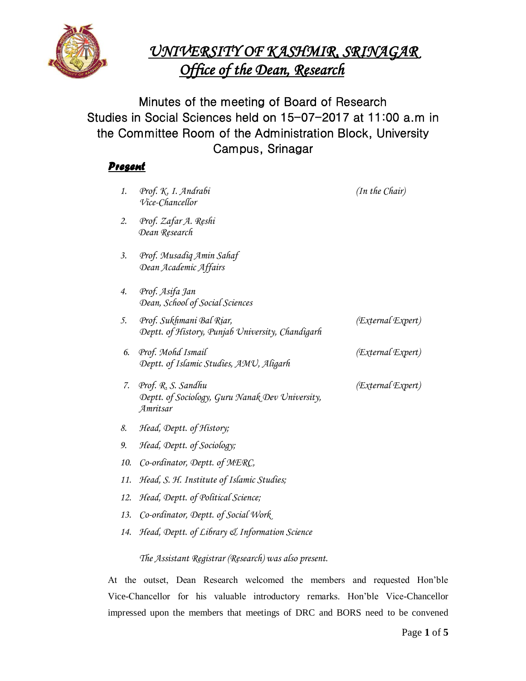

# *UNIVERSITY OF KASHMIR, SRINAGAR Office of the Dean, Research*

Minutes of the meeting of Board of Research Studies in Social Sciences held on 15-07-2017 at 11:00 a.m in the Committee Room of the Administration Block, University Campus, Srinagar

# *Present*

| 1.  | Prof. K. I. Andrabi<br>Vice-Chancellor                                            | (In the Chair)    |
|-----|-----------------------------------------------------------------------------------|-------------------|
| 2.  | Prof. Zafar A. Reshi<br>Dean Research                                             |                   |
| 3.  | Prof. Musadiq Amin Sahaf<br>Dean Academic Affairs                                 |                   |
| 4.  | Prof. Asifa Jan<br>Dean, School of Social Sciences                                |                   |
| 5.  | Prof. Sukhmani Bal Riar,<br>Deptt. of History, Punjab University, Chandigarh      | (External Expert) |
| 6.  | Prof. Mohd Ismail<br>Deptt. of Islamic Studies, AMU, Aligarh                      | (External Expert) |
| 7.  | Prof. R. S. Sandhu<br>Deptt. of Sociology, Guru Nanak Dev University,<br>Amritsar | (External Expert) |
| 8.  | Head, Deptt. of History;                                                          |                   |
| 9.  | Head, Deptt. of Sociology;                                                        |                   |
| 10. | Co-ordinator, Deptt. of MERC,                                                     |                   |
| 11. | Head, S. H. Institute of Islamic Studies;                                         |                   |
| 12. | Head, Deptt. of Political Science;                                                |                   |
| 13. | Co-ordinator, Deptt. of Social Work                                               |                   |
| 14. | Head, Deptt. of Library & Information Science                                     |                   |

*The Assistant Registrar (Research) was also present.*

At the outset, Dean Research welcomed the members and requested Hon'ble Vice-Chancellor for his valuable introductory remarks. Hon'ble Vice-Chancellor impressed upon the members that meetings of DRC and BORS need to be convened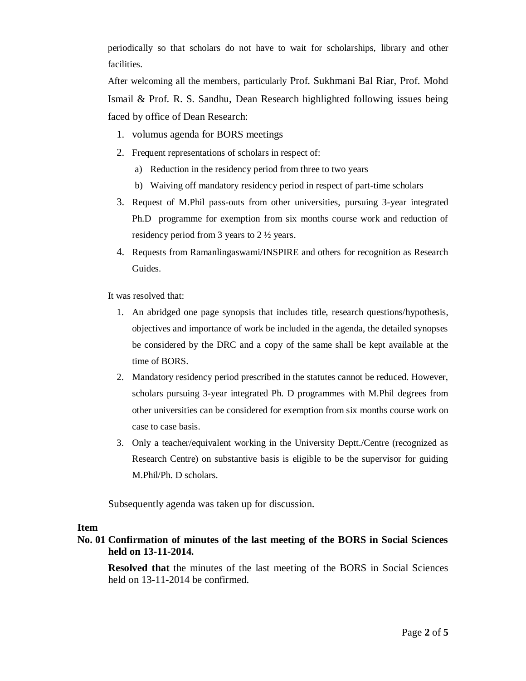periodically so that scholars do not have to wait for scholarships, library and other facilities.

After welcoming all the members, particularly Prof. Sukhmani Bal Riar, Prof. Mohd Ismail & Prof. R. S. Sandhu, Dean Research highlighted following issues being faced by office of Dean Research:

- 1. volumus agenda for BORS meetings
- 2. Frequent representations of scholars in respect of:
	- a) Reduction in the residency period from three to two years
	- b) Waiving off mandatory residency period in respect of part-time scholars
- 3. Request of M.Phil pass-outs from other universities, pursuing 3-year integrated Ph.D programme for exemption from six months course work and reduction of residency period from 3 years to 2 ½ years.
- 4. Requests from Ramanlingaswami/INSPIRE and others for recognition as Research Guides.

It was resolved that:

- 1. An abridged one page synopsis that includes title, research questions/hypothesis, objectives and importance of work be included in the agenda, the detailed synopses be considered by the DRC and a copy of the same shall be kept available at the time of BORS.
- 2. Mandatory residency period prescribed in the statutes cannot be reduced. However, scholars pursuing 3-year integrated Ph. D programmes with M.Phil degrees from other universities can be considered for exemption from six months course work on case to case basis.
- 3. Only a teacher/equivalent working in the University Deptt./Centre (recognized as Research Centre) on substantive basis is eligible to be the supervisor for guiding M.Phil/Ph. D scholars.

Subsequently agenda was taken up for discussion.

#### **Item**

# **No. 01 Confirmation of minutes of the last meeting of the BORS in Social Sciences held on 13-11-2014.**

**Resolved that** the minutes of the last meeting of the BORS in Social Sciences held on 13-11-2014 be confirmed.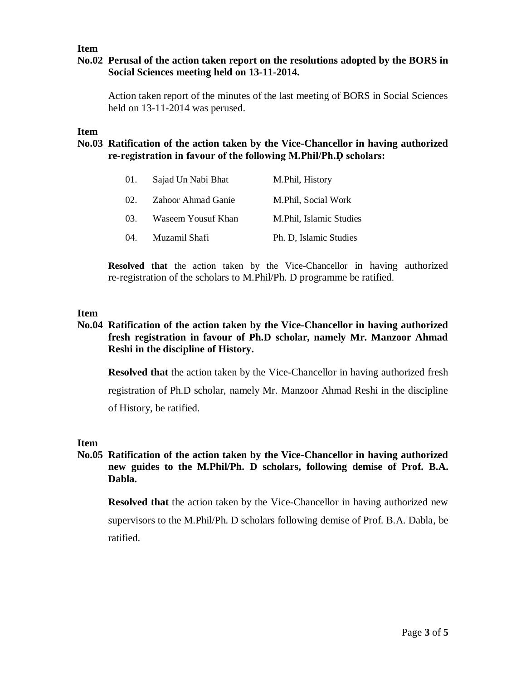#### **Item**

## **No.02 Perusal of the action taken report on the resolutions adopted by the BORS in Social Sciences meeting held on 13-11-2014.**

Action taken report of the minutes of the last meeting of BORS in Social Sciences held on 13-11-2014 was perused.

**Item** 

## **No.03 Ratification of the action taken by the Vice-Chancellor in having authorized re-registration in favour of the following M.Phil/Ph.Ḍ scholars:**

| 01. | Sajad Un Nabi Bhat | M.Phil, History         |
|-----|--------------------|-------------------------|
| 02. | Zahoor Ahmad Ganie | M.Phil, Social Work     |
| 03. | Waseem Yousuf Khan | M.Phil, Islamic Studies |
| 04. | Muzamil Shafi      | Ph. D, Islamic Studies  |

**Resolved that** the action taken by the Vice-Chancellor in having authorized re-registration of the scholars to M.Phil/Ph. D programme be ratified.

#### **Item**

# **No.04 Ratification of the action taken by the Vice-Chancellor in having authorized fresh registration in favour of Ph.D scholar, namely Mr. Manzoor Ahmad Reshi in the discipline of History.**

**Resolved that** the action taken by the Vice-Chancellor in having authorized fresh registration of Ph.D scholar, namely Mr. Manzoor Ahmad Reshi in the discipline of History, be ratified.

#### **Item**

# **No.05 Ratification of the action taken by the Vice-Chancellor in having authorized new guides to the M.Phil/Ph. D scholars, following demise of Prof. B.A. Dabla.**

**Resolved that** the action taken by the Vice-Chancellor in having authorized new supervisors to the M.Phil/Ph. D scholars following demise of Prof. B.A. Dabla, be ratified.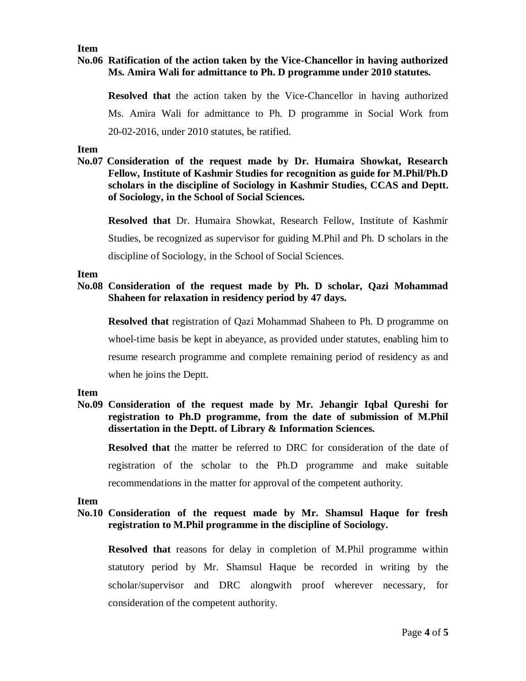### **Item**

## **No.06 Ratification of the action taken by the Vice-Chancellor in having authorized Ms. Amira Wali for admittance to Ph. D programme under 2010 statutes.**

**Resolved that** the action taken by the Vice-Chancellor in having authorized Ms. Amira Wali for admittance to Ph. D programme in Social Work from 20-02-2016, under 2010 statutes, be ratified.

#### **Item**

**No.07 Consideration of the request made by Dr. Humaira Showkat, Research Fellow, Institute of Kashmir Studies for recognition as guide for M.Phil/Ph.D scholars in the discipline of Sociology in Kashmir Studies, CCAS and Deptt. of Sociology, in the School of Social Sciences.**

**Resolved that** Dr. Humaira Showkat, Research Fellow, Institute of Kashmir Studies, be recognized as supervisor for guiding M.Phil and Ph. D scholars in the discipline of Sociology, in the School of Social Sciences.

#### **Item**

### **No.08 Consideration of the request made by Ph. D scholar, Qazi Mohammad Shaheen for relaxation in residency period by 47 days.**

**Resolved that** registration of Qazi Mohammad Shaheen to Ph. D programme on whoel-time basis be kept in abeyance, as provided under statutes, enabling him to resume research programme and complete remaining period of residency as and when he joins the Deptt.

#### **Item**

# **No.09 Consideration of the request made by Mr. Jehangir Iqbal Qureshi for registration to Ph.D programme, from the date of submission of M.Phil dissertation in the Deptt. of Library & Information Sciences.**

**Resolved that** the matter be referred to DRC for consideration of the date of registration of the scholar to the Ph.D programme and make suitable recommendations in the matter for approval of the competent authority.

#### **Item**

### **No.10 Consideration of the request made by Mr. Shamsul Haque for fresh registration to M.Phil programme in the discipline of Sociology.**

**Resolved that** reasons for delay in completion of M.Phil programme within statutory period by Mr. Shamsul Haque be recorded in writing by the scholar/supervisor and DRC alongwith proof wherever necessary, for consideration of the competent authority.